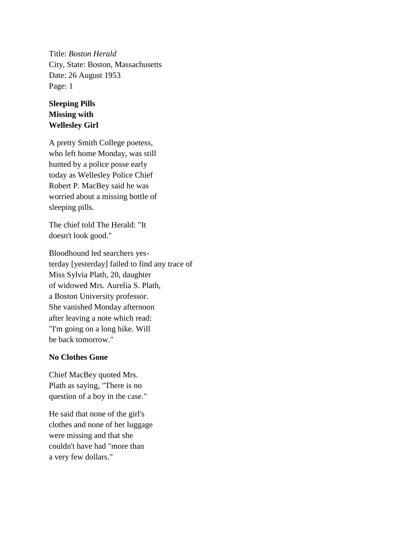Title: *Boston Herald* City, State: Boston, Massachusetts Date: 26 August 1953 Page: 1

## **Sleeping Pills Missing with Wellesley Girl**

A pretty Smith College poetess, who left home Monday, was still hunted by a police posse early today as Wellesley Police Chief Robert P. MacBey said he was worried about a missing bottle of sleeping pills.

The chief told The Herald: "It doesn't look good."

Bloodhound led searchers yesterday [yesterday] failed to find any trace of Miss Sylvia Plath, 20, daughter of widowed Mrs. Aurelia S. Plath, a Boston University professor. She vanished Monday afternoon after leaving a note which read: "I'm going on a long hike. Will be back tomorrow."

## **No Clothes Gone**

Chief MacBey quoted Mrs. Plath as saying, "There is no question of a boy in the case."

He said that none of the girl's clothes and none of her luggage were missing and that she couldn't have had "more than a very few dollars."